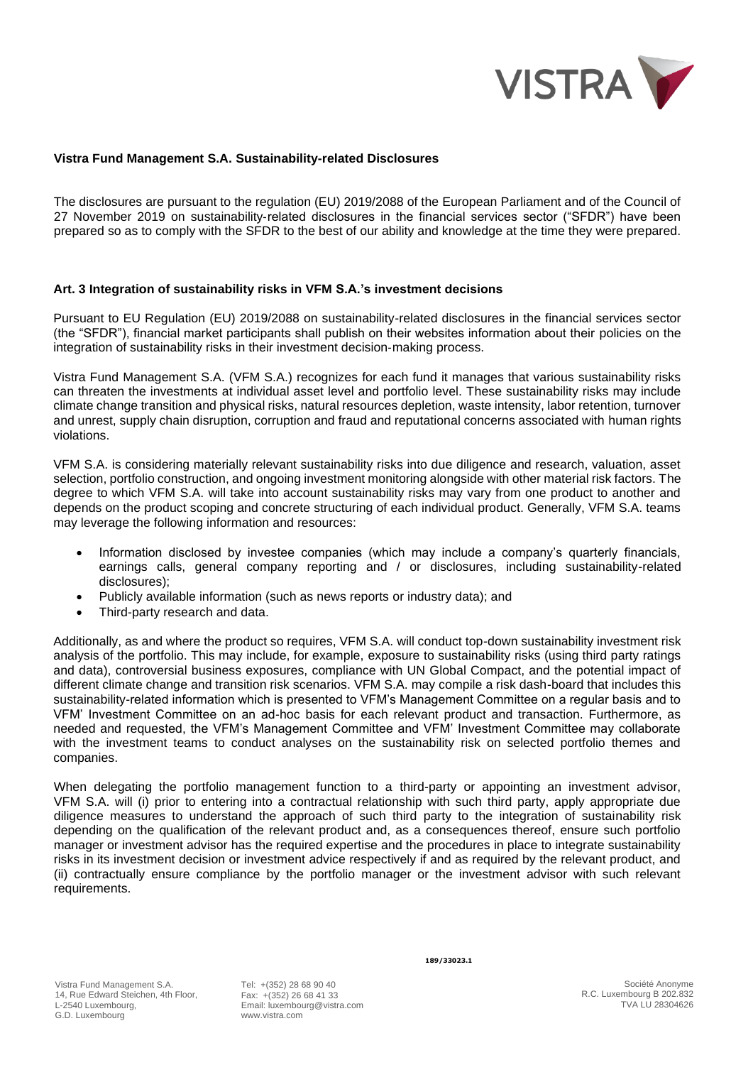

## **Vistra Fund Management S.A. Sustainability-related Disclosures**

The disclosures are pursuant to the regulation (EU) 2019/2088 of the European Parliament and of the Council of 27 November 2019 on sustainability-related disclosures in the financial services sector ("SFDR") have been prepared so as to comply with the SFDR to the best of our ability and knowledge at the time they were prepared.

## **Art. 3 Integration of sustainability risks in VFM S.A.'s investment decisions**

Pursuant to EU Regulation (EU) 2019/2088 on sustainability-related disclosures in the financial services sector (the "SFDR"), financial market participants shall publish on their websites information about their policies on the integration of sustainability risks in their investment decision‐making process.

Vistra Fund Management S.A. (VFM S.A.) recognizes for each fund it manages that various sustainability risks can threaten the investments at individual asset level and portfolio level. These sustainability risks may include climate change transition and physical risks, natural resources depletion, waste intensity, labor retention, turnover and unrest, supply chain disruption, corruption and fraud and reputational concerns associated with human rights violations.

VFM S.A. is considering materially relevant sustainability risks into due diligence and research, valuation, asset selection, portfolio construction, and ongoing investment monitoring alongside with other material risk factors. The degree to which VFM S.A. will take into account sustainability risks may vary from one product to another and depends on the product scoping and concrete structuring of each individual product. Generally, VFM S.A. teams may leverage the following information and resources:

- Information disclosed by investee companies (which may include a company's quarterly financials, earnings calls, general company reporting and / or disclosures, including sustainability-related disclosures);
- Publicly available information (such as news reports or industry data); and
- Third-party research and data.

Additionally, as and where the product so requires, VFM S.A. will conduct top-down sustainability investment risk analysis of the portfolio. This may include, for example, exposure to sustainability risks (using third party ratings and data), controversial business exposures, compliance with UN Global Compact, and the potential impact of different climate change and transition risk scenarios. VFM S.A. may compile a risk dash-board that includes this sustainability-related information which is presented to VFM's Management Committee on a regular basis and to VFM' Investment Committee on an ad-hoc basis for each relevant product and transaction. Furthermore, as needed and requested, the VFM's Management Committee and VFM' Investment Committee may collaborate with the investment teams to conduct analyses on the sustainability risk on selected portfolio themes and companies.

When delegating the portfolio management function to a third-party or appointing an investment advisor, VFM S.A. will (i) prior to entering into a contractual relationship with such third party, apply appropriate due diligence measures to understand the approach of such third party to the integration of sustainability risk depending on the qualification of the relevant product and, as a consequences thereof, ensure such portfolio manager or investment advisor has the required expertise and the procedures in place to integrate sustainability risks in its investment decision or investment advice respectively if and as required by the relevant product, and (ii) contractually ensure compliance by the portfolio manager or the investment advisor with such relevant requirements.

Tel: +(352) 28 68 90 40 Fax: +(352) 26 68 41 33 Email: luxembourg@vistra.com www.vistra.com

**189/33023.1**